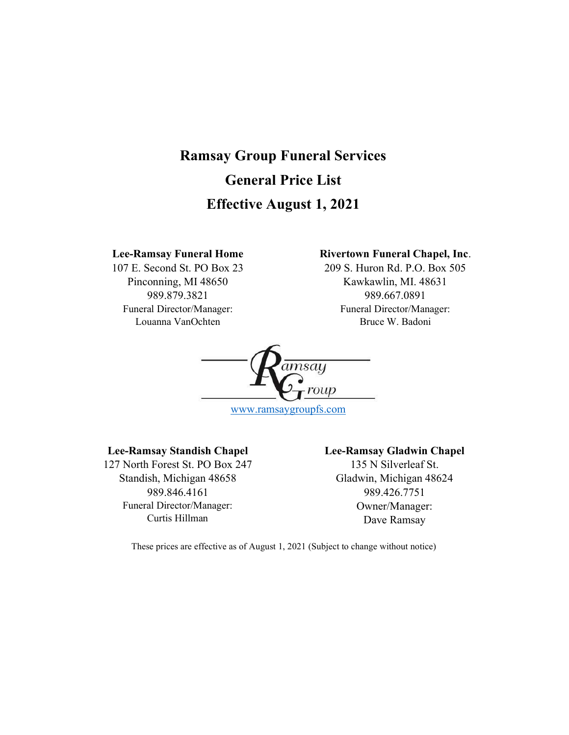# Ramsay Group Funeral Services General Price List Effective August 1, 2021

## Lee-Ramsay Funeral Home

107 E. Second St. PO Box 23 Pinconning, MI 48650 989.879.3821 Funeral Director/Manager: Louanna VanOchten

# Rivertown Funeral Chapel, Inc.

209 S. Huron Rd. P.O. Box 505 Kawkawlin, MI. 48631 989.667.0891 Funeral Director/Manager: Bruce W. Badoni



www.ramsaygroupfs.com

### Lee-Ramsay Standish Chapel

127 North Forest St. PO Box 247 Standish, Michigan 48658 989.846.4161 Funeral Director/Manager: Curtis Hillman

# Lee-Ramsay Gladwin Chapel 135 N Silverleaf St. Gladwin, Michigan 48624 989.426.7751 Owner/Manager: Dave Ramsay

These prices are effective as of August 1, 2021 (Subject to change without notice)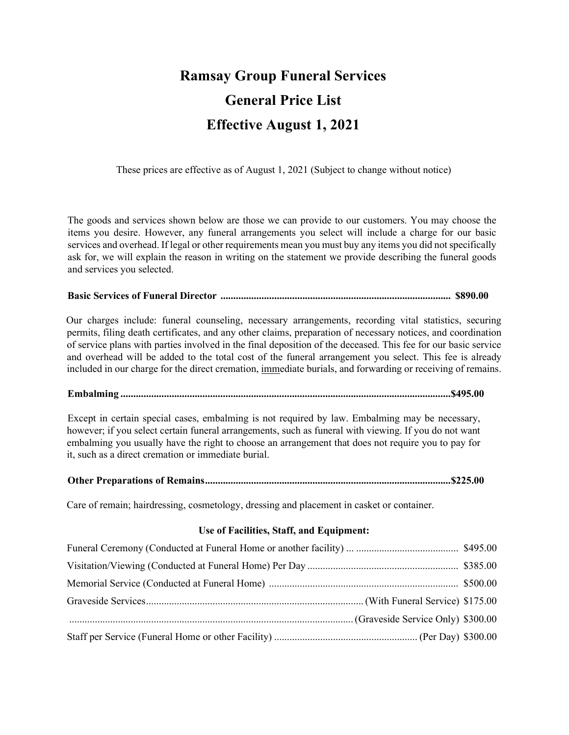# Ramsay Group Funeral Services General Price List Effective August 1, 2021

These prices are effective as of August 1, 2021 (Subject to change without notice)

The goods and services shown below are those we can provide to our customers. You may choose the items you desire. However, any funeral arrangements you select will include a charge for our basic services and overhead. If legal or other requirements mean you must buy any items you did not specifically ask for, we will explain the reason in writing on the statement we provide describing the funeral goods and services you selected.

# Basic Services of Funeral Director .......................................................................................... \$890.00

Our charges include: funeral counseling, necessary arrangements, recording vital statistics, securing permits, filing death certificates, and any other claims, preparation of necessary notices, and coordination of service plans with parties involved in the final deposition of the deceased. This fee for our basic service and overhead will be added to the total cost of the funeral arrangement you select. This fee is already included in our charge for the direct cremation, immediate burials, and forwarding or receiving of remains.

Embalming ................................................................................................................................. \$495.00

Except in certain special cases, embalming is not required by law. Embalming may be necessary, however; if you select certain funeral arrangements, such as funeral with viewing. If you do not want embalming you usually have the right to choose an arrangement that does not require you to pay for it, such as a direct cremation or immediate burial.

### Other Preparations of Remains ................................................................................................ \$225.00

Care of remain; hairdressing, cosmetology, dressing and placement in casket or container.

### Use of Facilities, Staff, and Equipment: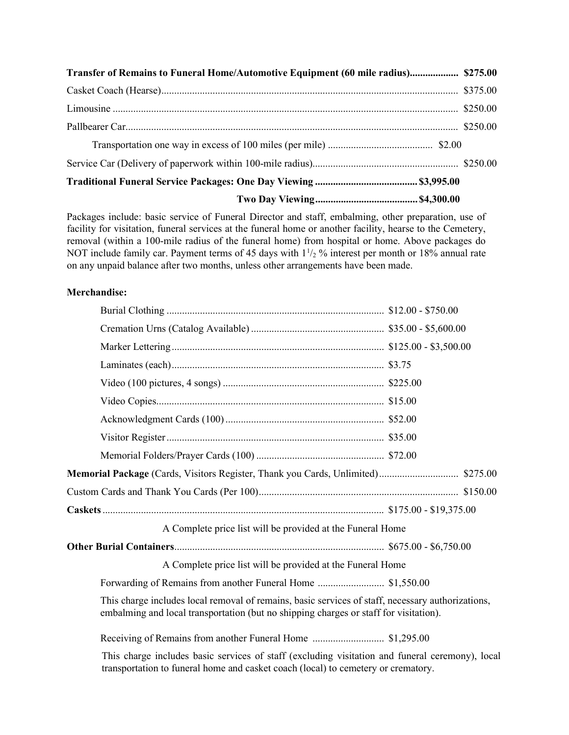| Transfer of Remains to Funeral Home/Automotive Equipment (60 mile radius) \$275.00 |  |
|------------------------------------------------------------------------------------|--|
|                                                                                    |  |
|                                                                                    |  |
|                                                                                    |  |
|                                                                                    |  |
|                                                                                    |  |
|                                                                                    |  |
|                                                                                    |  |

Packages include: basic service of Funeral Director and staff, embalming, other preparation, use of facility for visitation, funeral services at the funeral home or another facility, hearse to the Cemetery, removal (within a 100-mile radius of the funeral home) from hospital or home. Above packages do NOT include family car. Payment terms of 45 days with  $1\frac{1}{2}$ % interest per month or 18% annual rate on any unpaid balance after two months, unless other arrangements have been made.

# Merchandise:

| A Complete price list will be provided at the Funeral Home                                                                                                                                 |  |
|--------------------------------------------------------------------------------------------------------------------------------------------------------------------------------------------|--|
|                                                                                                                                                                                            |  |
| A Complete price list will be provided at the Funeral Home                                                                                                                                 |  |
| Forwarding of Remains from another Funeral Home  \$1,550.00                                                                                                                                |  |
| This charge includes local removal of remains, basic services of staff, necessary authorizations,<br>embalming and local transportation (but no shipping charges or staff for visitation). |  |
|                                                                                                                                                                                            |  |
| This charge includes basic services of staff (excluding visitation and funeral ceremony), local                                                                                            |  |

transportation to funeral home and casket coach (local) to cemetery or crematory.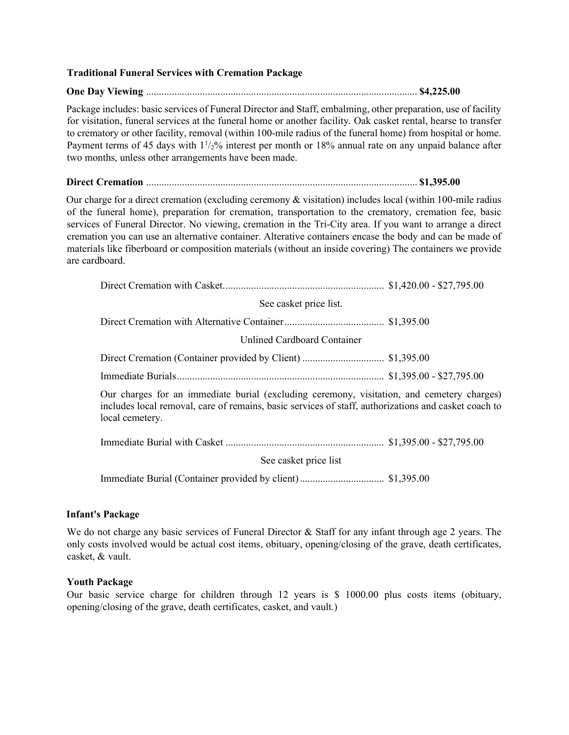### Traditional Funeral Services with Cremation Package

#### One Day Viewing .......................................................................................................... \$4,225.00

Package includes: basic services of Funeral Director and Staff, embalming, other preparation, use of facility for visitation, funeral services at the funeral home or another facility. Oak casket rental, hearse to transfer to crematory or other facility, removal (within 100-mile radius of the funeral home) from hospital or home. Payment terms of 45 days with  $1\frac{1}{2}\%$  interest per month or 18% annual rate on any unpaid balance after two months, unless other arrangements have been made.

#### Direct Cremation .......................................................................................................... \$1,395.00

Our charge for a direct cremation (excluding ceremony & visitation) includes local (within 100-mile radius of the funeral home), preparation for cremation, transportation to the crematory, cremation fee, basic services of Funeral Director. No viewing, cremation in the Tri-City area. If you want to arrange a direct cremation you can use an alternative container. Alterative containers encase the body and can be made of materials like fiberboard or composition materials (without an inside covering) The containers we provide are cardboard.

| See casket price list.                                                                                                                                                                                                |  |  |
|-----------------------------------------------------------------------------------------------------------------------------------------------------------------------------------------------------------------------|--|--|
|                                                                                                                                                                                                                       |  |  |
| Unlined Cardboard Container                                                                                                                                                                                           |  |  |
|                                                                                                                                                                                                                       |  |  |
|                                                                                                                                                                                                                       |  |  |
| Our charges for an immediate burial (excluding ceremony, visitation, and cemetery charges)<br>includes local removal, care of remains, basic services of staff, authorizations and casket coach to<br>local cemetery. |  |  |
|                                                                                                                                                                                                                       |  |  |
| See casket price list                                                                                                                                                                                                 |  |  |
|                                                                                                                                                                                                                       |  |  |

### Infant's Package

We do not charge any basic services of Funeral Director & Staff for any infant through age 2 years. The only costs involved would be actual cost items, obituary, opening/closing of the grave, death certificates, casket, & vault.

### Youth Package

Our basic service charge for children through 12 years is \$ 1000.00 plus costs items (obituary, opening/closing of the grave, death certificates, casket, and vault.)